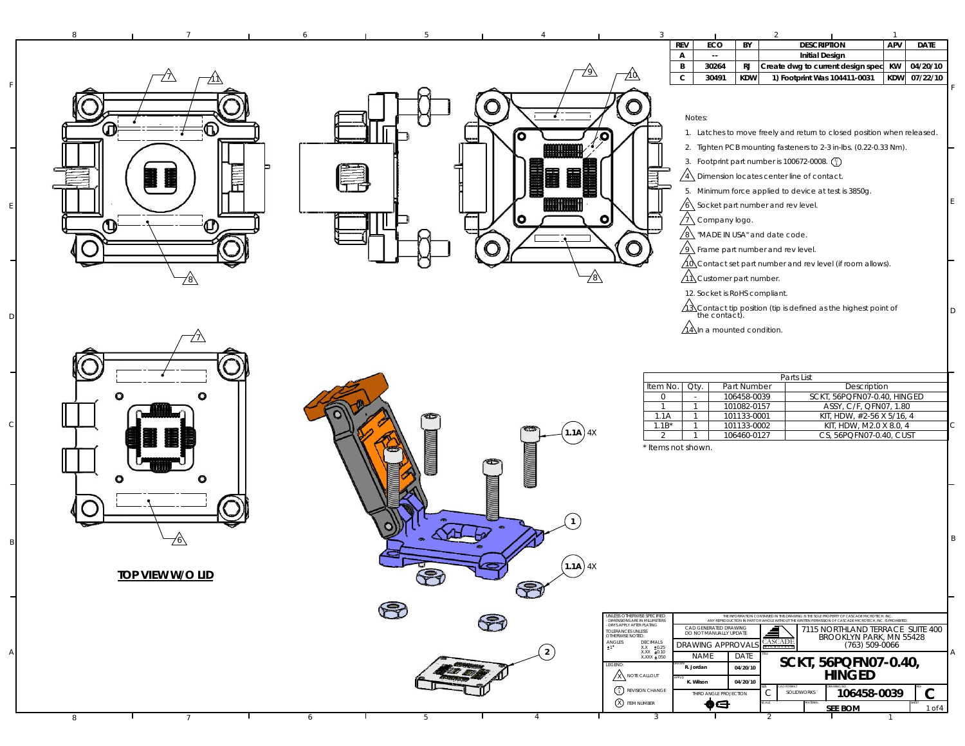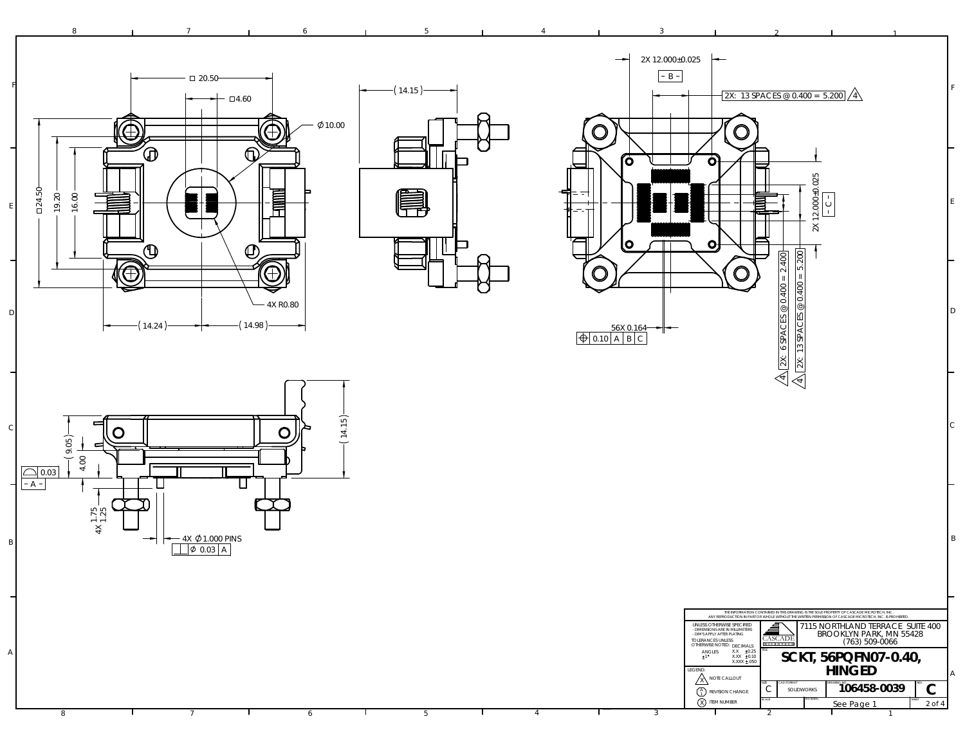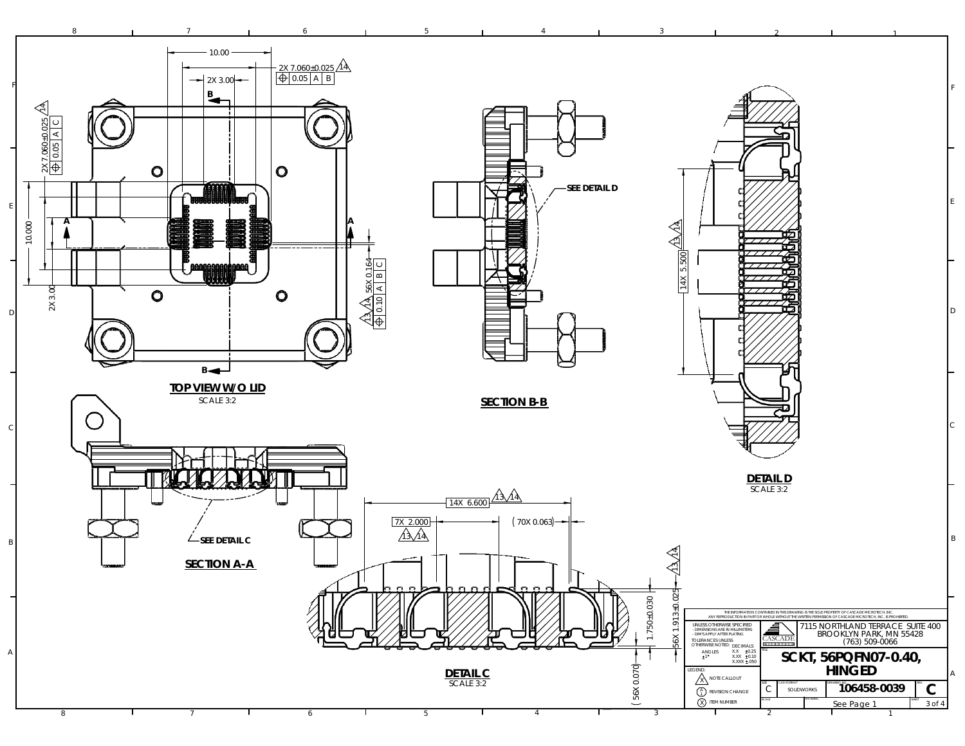